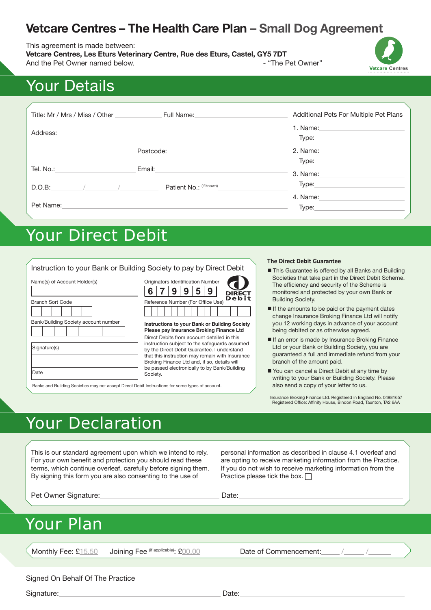# **Vetcare Centres – The Health Care Plan – Small Dog Agreement**

#### This agreement is made between:

**Vetcare Centres, Les Eturs Veterinary Centre, Rue des Eturs, Castel, GY5 7DT** And the Pet Owner named below. And the Pet Owner's part of the Pet Owner's part of the Pet Owner's part of the Pet Owner's part of the Pet Owner's part of the Pet Owner's part of the Pet Owner's part of the Pet Owner's par



# Your Details

| Title: Mr / Mrs / Miss / Other | Full Name: The Contract of the Contract of the Contract of the Contract of the Contract of the Contract of the | Additional Pets For Multiple Pet Plans                                                                                                                                                                                                  |
|--------------------------------|----------------------------------------------------------------------------------------------------------------|-----------------------------------------------------------------------------------------------------------------------------------------------------------------------------------------------------------------------------------------|
| Address:                       |                                                                                                                | 1. Name: the contract of the contract of the contract of the contract of the contract of the contract of the contract of the contract of the contract of the contract of the contract of the contract of the contract of the c<br>Type: |
|                                | Postcode:                                                                                                      | 2. Name:                                                                                                                                                                                                                                |
| Tel. No.:                      | Email:                                                                                                         | Type:<br>3. Name:                                                                                                                                                                                                                       |
| D.O.B:                         | Patient No.: (if known)                                                                                        | Type:                                                                                                                                                                                                                                   |
| Pet Name:                      |                                                                                                                | 4. Name:<br>Type:                                                                                                                                                                                                                       |

# Your Direct Debit

|                                                                                                          |                                                                                                                                                                                                                                                | <b>The Direct Debit Guarantee</b>                                                                                                                                                                                                      |
|----------------------------------------------------------------------------------------------------------|------------------------------------------------------------------------------------------------------------------------------------------------------------------------------------------------------------------------------------------------|----------------------------------------------------------------------------------------------------------------------------------------------------------------------------------------------------------------------------------------|
| Name(s) of Account Holder(s)                                                                             | Instruction to your Bank or Building Society to pay by Direct Debit<br>Originators Identification Number<br>9<br>C<br><b>DIRECT</b><br><b>Debit</b>                                                                                            | This Guarantee is offered by all Banks and Building<br>Societies that take part in the Direct Debit Scheme.<br>The efficiency and security of the Scheme is<br>monitored and protected by your own Bank or<br><b>Building Society.</b> |
| <b>Branch Sort Code</b><br>Bank/Building Society account number                                          | Reference Number (For Office Use)<br>Instructions to your Bank or Building Society<br>Please pay Insurance Broking Finance Ltd                                                                                                                 | If the amounts to be paid or the payment dates<br>change Insurance Broking Finance Ltd will notify<br>you 12 working days in advance of your account<br>being debited or as otherwise agreed.                                          |
| Signature(s)                                                                                             | Direct Debits from account detailed in this<br>instruction subject to the safeguards assumed<br>by the Direct Debit Guarantee. I understand<br>that this instruction may remain with Insurance<br>Broking Finance Ltd and, if so, details will | If an error is made by Insurance Broking Finance<br>Ltd or your Bank or Building Society, you are<br>guaranteed a full and immediate refund from your<br>branch of the amount paid.                                                    |
| Date<br>Banks and Building Societies may not accept Direct Debit Instructions for some types of account. | be passed electronically to by Bank/Building<br>Society.                                                                                                                                                                                       | ■ You can cancel a Direct Debit at any time by<br>writing to your Bank or Building Society. Please<br>also send a copy of your letter to us.                                                                                           |

Insurance Broking Finance Ltd. Registered in England No. 04981657 Registered Office: Affinity House, Bindon Road, Taunton, TA2 6AA

# Your Declaration

This is our standard agreement upon which we intend to rely. For your own benefit and protection you should read these terms, which continue overleaf, carefully before signing them. By signing this form you are also consenting to the use of

personal information as described in clause 4.1 overleaf and are opting to receive marketing information from the Practice. If you do not wish to receive marketing information from the Practice please tick the box.  $\Box$ 

Pet Owner Signature: Date: Date: Date:

# Your Plan

Monthly Fee: £15.50 Joining Fee (if applicable): £00.00 Date of Commencement:

Signed On Behalf Of The Practice

Signature: Date: Date: Date: Date: Date: Date: Date: Date: Date: Date: Date: Date: Date: Date: Date: Date: Date: Date: Date: Date: Date: Date: Date: Date: Date: Date: Date: Date: Date: Date: Date: Date: Date: Date: Date: D